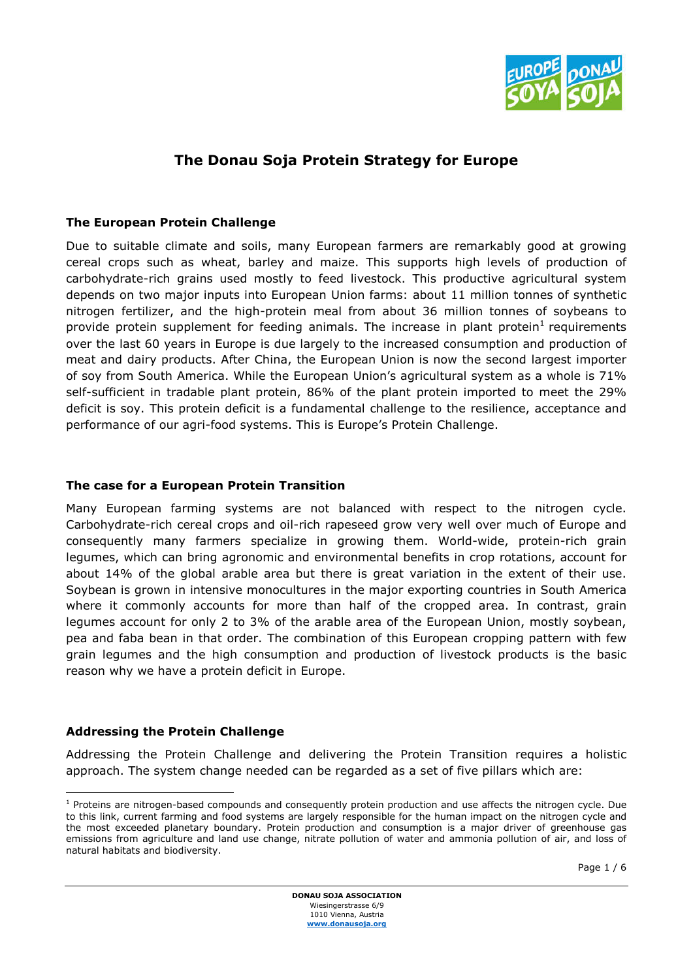

# The Donau Soja Protein Strategy for Europe

# The European Protein Challenge

Due to suitable climate and soils, many European farmers are remarkably good at growing cereal crops such as wheat, barley and maize. This supports high levels of production of carbohydrate-rich grains used mostly to feed livestock. This productive agricultural system depends on two major inputs into European Union farms: about 11 million tonnes of synthetic nitrogen fertilizer, and the high-protein meal from about 36 million tonnes of soybeans to provide protein supplement for feeding animals. The increase in plant protein<sup>1</sup> requirements over the last 60 years in Europe is due largely to the increased consumption and production of meat and dairy products. After China, the European Union is now the second largest importer of soy from South America. While the European Union's agricultural system as a whole is 71% self-sufficient in tradable plant protein, 86% of the plant protein imported to meet the 29% deficit is soy. This protein deficit is a fundamental challenge to the resilience, acceptance and performance of our agri-food systems. This is Europe's Protein Challenge.

# The case for a European Protein Transition

Many European farming systems are not balanced with respect to the nitrogen cycle. Carbohydrate-rich cereal crops and oil-rich rapeseed grow very well over much of Europe and consequently many farmers specialize in growing them. World-wide, protein-rich grain legumes, which can bring agronomic and environmental benefits in crop rotations, account for about 14% of the global arable area but there is great variation in the extent of their use. Soybean is grown in intensive monocultures in the major exporting countries in South America where it commonly accounts for more than half of the cropped area. In contrast, grain legumes account for only 2 to 3% of the arable area of the European Union, mostly soybean, pea and faba bean in that order. The combination of this European cropping pattern with few grain legumes and the high consumption and production of livestock products is the basic reason why we have a protein deficit in Europe.

# Addressing the Protein Challenge

Addressing the Protein Challenge and delivering the Protein Transition requires a holistic approach. The system change needed can be regarded as a set of five pillars which are:

 $\overline{a}$  $1$  Proteins are nitrogen-based compounds and consequently protein production and use affects the nitrogen cycle. Due to this link, current farming and food systems are largely responsible for the human impact on the nitrogen cycle and the most exceeded planetary boundary. Protein production and consumption is a major driver of greenhouse gas emissions from agriculture and land use change, nitrate pollution of water and ammonia pollution of air, and loss of natural habitats and biodiversity.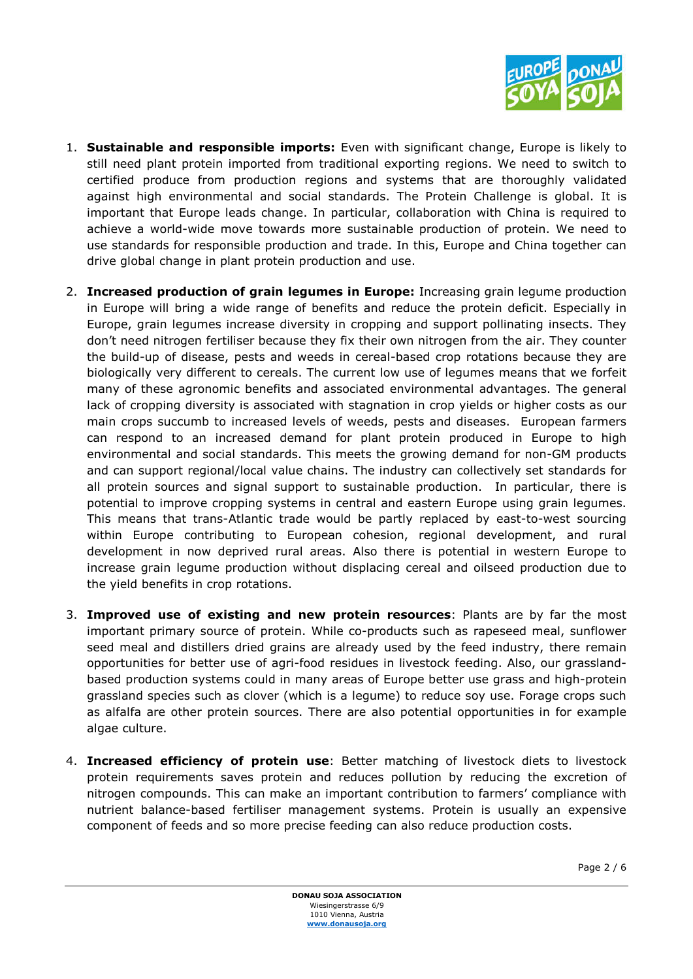

- 1. Sustainable and responsible imports: Even with significant change, Europe is likely to still need plant protein imported from traditional exporting regions. We need to switch to certified produce from production regions and systems that are thoroughly validated against high environmental and social standards. The Protein Challenge is global. It is important that Europe leads change. In particular, collaboration with China is required to achieve a world-wide move towards more sustainable production of protein. We need to use standards for responsible production and trade. In this, Europe and China together can drive global change in plant protein production and use.
- 2. Increased production of grain legumes in Europe: Increasing grain legume production in Europe will bring a wide range of benefits and reduce the protein deficit. Especially in Europe, grain legumes increase diversity in cropping and support pollinating insects. They don't need nitrogen fertiliser because they fix their own nitrogen from the air. They counter the build-up of disease, pests and weeds in cereal-based crop rotations because they are biologically very different to cereals. The current low use of legumes means that we forfeit many of these agronomic benefits and associated environmental advantages. The general lack of cropping diversity is associated with stagnation in crop yields or higher costs as our main crops succumb to increased levels of weeds, pests and diseases. European farmers can respond to an increased demand for plant protein produced in Europe to high environmental and social standards. This meets the growing demand for non-GM products and can support regional/local value chains. The industry can collectively set standards for all protein sources and signal support to sustainable production. In particular, there is potential to improve cropping systems in central and eastern Europe using grain legumes. This means that trans-Atlantic trade would be partly replaced by east-to-west sourcing within Europe contributing to European cohesion, regional development, and rural development in now deprived rural areas. Also there is potential in western Europe to increase grain legume production without displacing cereal and oilseed production due to the yield benefits in crop rotations.
- 3. Improved use of existing and new protein resources: Plants are by far the most important primary source of protein. While co-products such as rapeseed meal, sunflower seed meal and distillers dried grains are already used by the feed industry, there remain opportunities for better use of agri-food residues in livestock feeding. Also, our grasslandbased production systems could in many areas of Europe better use grass and high-protein grassland species such as clover (which is a legume) to reduce soy use. Forage crops such as alfalfa are other protein sources. There are also potential opportunities in for example algae culture.
- 4. Increased efficiency of protein use: Better matching of livestock diets to livestock protein requirements saves protein and reduces pollution by reducing the excretion of nitrogen compounds. This can make an important contribution to farmers' compliance with nutrient balance-based fertiliser management systems. Protein is usually an expensive component of feeds and so more precise feeding can also reduce production costs.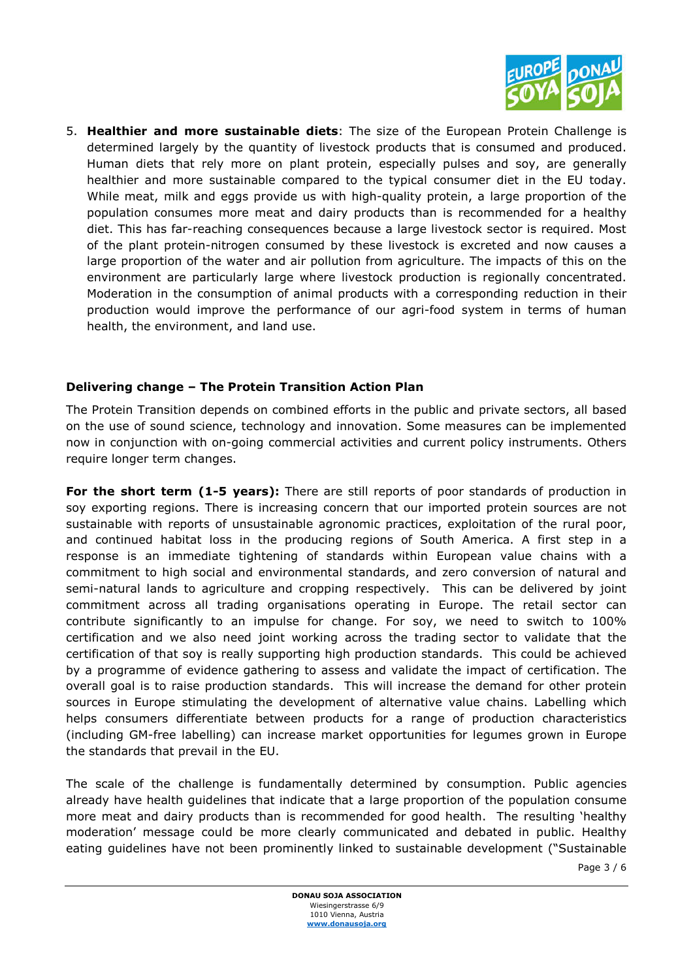

5. Healthier and more sustainable diets: The size of the European Protein Challenge is determined largely by the quantity of livestock products that is consumed and produced. Human diets that rely more on plant protein, especially pulses and soy, are generally healthier and more sustainable compared to the typical consumer diet in the EU today. While meat, milk and eggs provide us with high-quality protein, a large proportion of the population consumes more meat and dairy products than is recommended for a healthy diet. This has far-reaching consequences because a large livestock sector is required. Most of the plant protein-nitrogen consumed by these livestock is excreted and now causes a large proportion of the water and air pollution from agriculture. The impacts of this on the environment are particularly large where livestock production is regionally concentrated. Moderation in the consumption of animal products with a corresponding reduction in their production would improve the performance of our agri-food system in terms of human health, the environment, and land use.

### Delivering change – The Protein Transition Action Plan

The Protein Transition depends on combined efforts in the public and private sectors, all based on the use of sound science, technology and innovation. Some measures can be implemented now in conjunction with on-going commercial activities and current policy instruments. Others require longer term changes.

For the short term (1-5 years): There are still reports of poor standards of production in soy exporting regions. There is increasing concern that our imported protein sources are not sustainable with reports of unsustainable agronomic practices, exploitation of the rural poor, and continued habitat loss in the producing regions of South America. A first step in a response is an immediate tightening of standards within European value chains with a commitment to high social and environmental standards, and zero conversion of natural and semi-natural lands to agriculture and cropping respectively. This can be delivered by joint commitment across all trading organisations operating in Europe. The retail sector can contribute significantly to an impulse for change. For soy, we need to switch to 100% certification and we also need joint working across the trading sector to validate that the certification of that soy is really supporting high production standards. This could be achieved by a programme of evidence gathering to assess and validate the impact of certification. The overall goal is to raise production standards. This will increase the demand for other protein sources in Europe stimulating the development of alternative value chains. Labelling which helps consumers differentiate between products for a range of production characteristics (including GM-free labelling) can increase market opportunities for legumes grown in Europe the standards that prevail in the EU.

The scale of the challenge is fundamentally determined by consumption. Public agencies already have health guidelines that indicate that a large proportion of the population consume more meat and dairy products than is recommended for good health. The resulting 'healthy moderation' message could be more clearly communicated and debated in public. Healthy eating guidelines have not been prominently linked to sustainable development ("Sustainable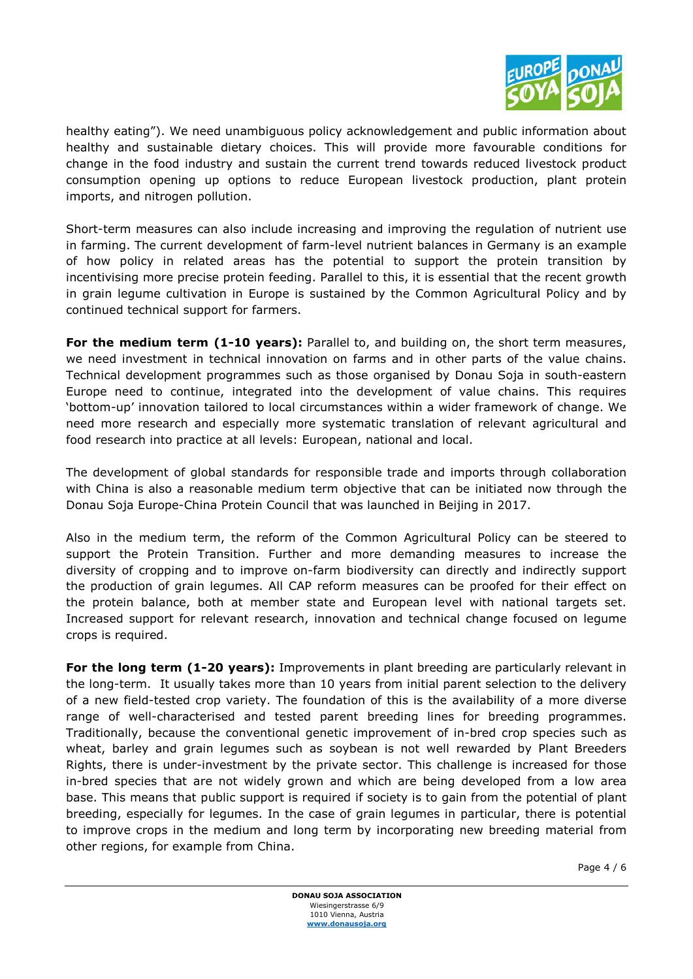

healthy eating"). We need unambiguous policy acknowledgement and public information about healthy and sustainable dietary choices. This will provide more favourable conditions for change in the food industry and sustain the current trend towards reduced livestock product consumption opening up options to reduce European livestock production, plant protein imports, and nitrogen pollution.

Short-term measures can also include increasing and improving the regulation of nutrient use in farming. The current development of farm-level nutrient balances in Germany is an example of how policy in related areas has the potential to support the protein transition by incentivising more precise protein feeding. Parallel to this, it is essential that the recent growth in grain legume cultivation in Europe is sustained by the Common Agricultural Policy and by continued technical support for farmers.

For the medium term (1-10 years): Parallel to, and building on, the short term measures, we need investment in technical innovation on farms and in other parts of the value chains. Technical development programmes such as those organised by Donau Soja in south-eastern Europe need to continue, integrated into the development of value chains. This requires 'bottom-up' innovation tailored to local circumstances within a wider framework of change. We need more research and especially more systematic translation of relevant agricultural and food research into practice at all levels: European, national and local.

The development of global standards for responsible trade and imports through collaboration with China is also a reasonable medium term objective that can be initiated now through the Donau Soja Europe-China Protein Council that was launched in Beijing in 2017.

Also in the medium term, the reform of the Common Agricultural Policy can be steered to support the Protein Transition. Further and more demanding measures to increase the diversity of cropping and to improve on-farm biodiversity can directly and indirectly support the production of grain legumes. All CAP reform measures can be proofed for their effect on the protein balance, both at member state and European level with national targets set. Increased support for relevant research, innovation and technical change focused on legume crops is required.

For the long term (1-20 years): Improvements in plant breeding are particularly relevant in the long-term. It usually takes more than 10 years from initial parent selection to the delivery of a new field-tested crop variety. The foundation of this is the availability of a more diverse range of well-characterised and tested parent breeding lines for breeding programmes. Traditionally, because the conventional genetic improvement of in-bred crop species such as wheat, barley and grain legumes such as soybean is not well rewarded by Plant Breeders Rights, there is under-investment by the private sector. This challenge is increased for those in-bred species that are not widely grown and which are being developed from a low area base. This means that public support is required if society is to gain from the potential of plant breeding, especially for legumes. In the case of grain legumes in particular, there is potential to improve crops in the medium and long term by incorporating new breeding material from other regions, for example from China.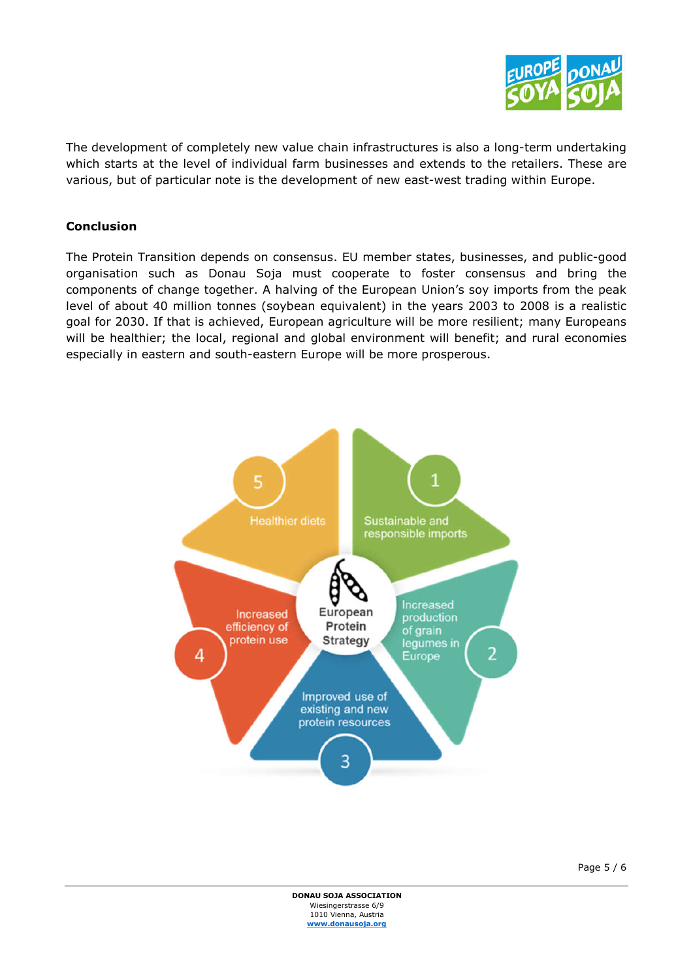

The development of completely new value chain infrastructures is also a long-term undertaking which starts at the level of individual farm businesses and extends to the retailers. These are various, but of particular note is the development of new east-west trading within Europe.

# Conclusion

The Protein Transition depends on consensus. EU member states, businesses, and public-good organisation such as Donau Soja must cooperate to foster consensus and bring the components of change together. A halving of the European Union's soy imports from the peak level of about 40 million tonnes (soybean equivalent) in the years 2003 to 2008 is a realistic goal for 2030. If that is achieved, European agriculture will be more resilient; many Europeans will be healthier; the local, regional and global environment will benefit; and rural economies especially in eastern and south-eastern Europe will be more prosperous.